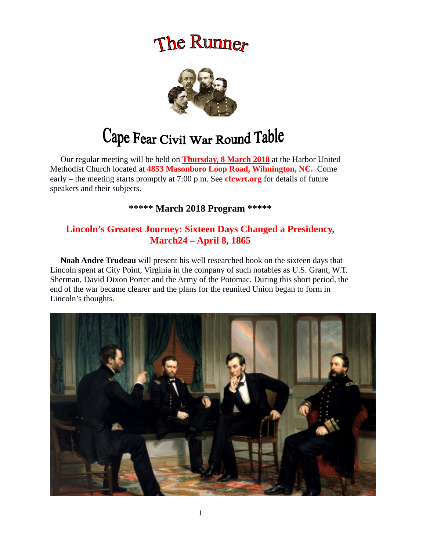# The Runner



# Cape Fear Civil War Round Table

 Our regular meeting will be held on **Thursday, 8 March 2018** at the Harbor United Methodist Church located at **4853 Masonboro Loop Road, Wilmington, NC.** Come early – the meeting starts promptly at 7:00 p.m. See **cfcwrt.org** for details of future speakers and their subjects.

**\*\*\*\*\* March 2018 Program \*\*\*\*\***

# **Lincoln's Greatest Journey: Sixteen Days Changed a Presidency, March24 – April 8, 1865**

 **Noah Andre Trudeau** will present his well researched book on the sixteen days that Lincoln spent at City Point, Virginia in the company of such notables as U.S. Grant, W.T. Sherman, David Dixon Porter and the Army of the Potomac. During this short period, the end of the war became clearer and the plans for the reunited Union began to form in Lincoln's thoughts.

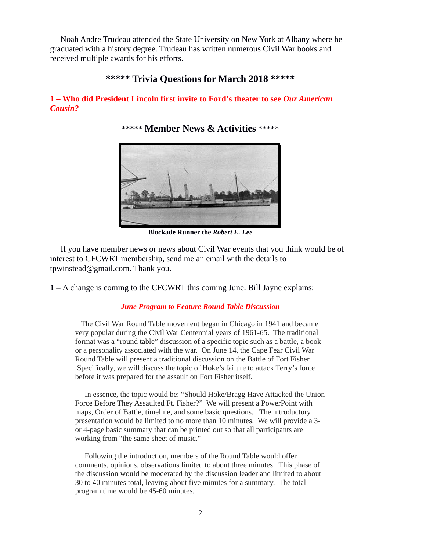Noah Andre Trudeau attended the State University on New York at Albany where he graduated with a history degree. Trudeau has written numerous Civil War books and received multiple awards for his efforts.

# **\*\*\*\*\* Trivia Questions for March 2018 \*\*\*\*\***

### **1 – Who did President Lincoln first invite to Ford's theater to see** *Our American Cousin?*

\*\*\*\*\* **Member News & Activities** \*\*\*\*\*



**Blockade Runner the** *Robert E. Lee*

 If you have member news or news about Civil War events that you think would be of interest to CFCWRT membership, send me an email with the details to tpwinstead@gmail.com. Thank you.

**1 –** A change is coming to the CFCWRT this coming June. Bill Jayne explains:

#### *June Program to Feature Round Table Discussion*

The Civil War Round Table movement began in Chicago in 1941 and became very popular during the Civil War Centennial years of 1961-65. The traditional format was a "round table" discussion of a specific topic such as a battle, a book or a personality associated with the war. On June 14, the Cape Fear Civil War Round Table will present a traditional discussion on the Battle of Fort Fisher. Specifically, we will discuss the topic of Hoke's failure to attack Terry's force before it was prepared for the assault on Fort Fisher itself.

 In essence, the topic would be: "Should Hoke/Bragg Have Attacked the Union Force Before They Assaulted Ft. Fisher?" We will present a PowerPoint with maps, Order of Battle, timeline, and some basic questions. The introductory presentation would be limited to no more than 10 minutes. We will provide a 3 or 4-page basic summary that can be printed out so that all participants are working from "the same sheet of music."

 Following the introduction, members of the Round Table would offer comments, opinions, observations limited to about three minutes. This phase of the discussion would be moderated by the discussion leader and limited to about 30 to 40 minutes total, leaving about five minutes for a summary. The total program time would be 45-60 minutes.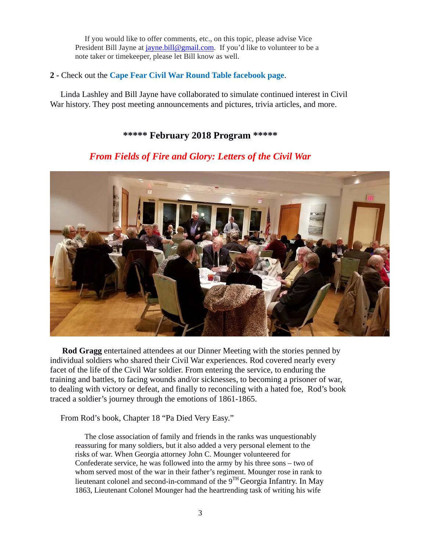If you would like to offer comments, etc., on this topic, please advise Vice President Bill Jayne at [jayne.bill@gmail.com.](mailto:jayne.bill@gmail.com) If you'd like to volunteer to be a note taker or timekeeper, please let Bill know as well.

### **2 -** Check out the **Cape Fear Civil War Round Table facebook page**.

 Linda Lashley and Bill Jayne have collaborated to simulate continued interest in Civil War history. They post meeting announcements and pictures, trivia articles, and more.

## **\*\*\*\*\* February 2018 Program \*\*\*\*\***



# *From Fields of Fire and Glory: Letters of the Civil War*

 **Rod Gragg** entertained attendees at our Dinner Meeting with the stories penned by individual soldiers who shared their Civil War experiences. Rod covered nearly every facet of the life of the Civil War soldier. From entering the service, to enduring the training and battles, to facing wounds and/or sicknesses, to becoming a prisoner of war, to dealing with victory or defeat, and finally to reconciling with a hated foe, Rod's book traced a soldier's journey through the emotions of 1861-1865.

From Rod's book, Chapter 18 "Pa Died Very Easy."

 The close association of family and friends in the ranks was unquestionably reassuring for many soldiers, but it also added a very personal element to the risks of war. When Georgia attorney John C. Mounger volunteered for Confederate service, he was followed into the army by his three sons – two of whom served most of the war in their father's regiment. Mounger rose in rank to lieutenant colonel and second-in-command of the  $9^{TH}$  Georgia Infantry. In May 1863, Lieutenant Colonel Mounger had the heartrending task of writing his wife